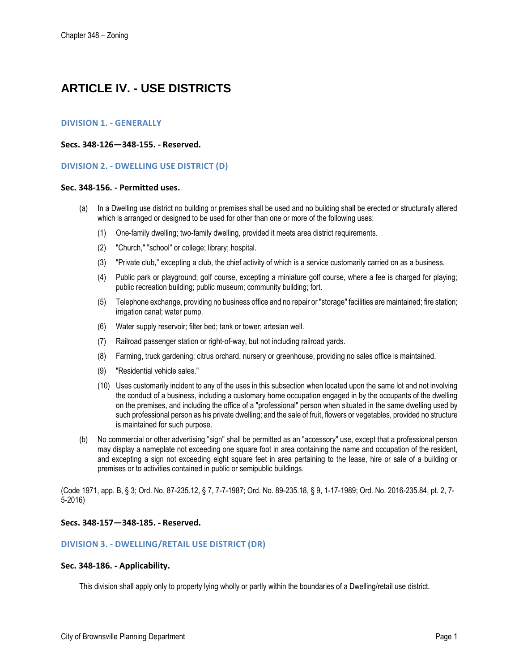# **ARTICLE IV. - USE DISTRICTS**

# **DIVISION 1. - GENERALLY**

## **Secs. 348-126—348-155. - Reserved.**

## **DIVISION 2. - DWELLING USE DISTRICT (D)**

#### **Sec. 348-156. - Permitted uses.**

- (a) In a Dwelling use district no building or premises shall be used and no building shall be erected or structurally altered which is arranged or designed to be used for other than one or more of the following uses:
	- (1) One-family dwelling; two-family dwelling, provided it meets area district requirements.
	- (2) "Church," "school" or college; library; hospital.
	- (3) "Private club," excepting a club, the chief activity of which is a service customarily carried on as a business.
	- (4) Public park or playground; golf course, excepting a miniature golf course, where a fee is charged for playing; public recreation building; public museum; community building; fort.
	- (5) Telephone exchange, providing no business office and no repair or "storage" facilities are maintained; fire station; irrigation canal; water pump.
	- (6) Water supply reservoir; filter bed; tank or tower; artesian well.
	- (7) Railroad passenger station or right-of-way, but not including railroad yards.
	- (8) Farming, truck gardening; citrus orchard, nursery or greenhouse, providing no sales office is maintained.
	- (9) "Residential vehicle sales."
	- (10) Uses customarily incident to any of the uses in this subsection when located upon the same lot and not involving the conduct of a business, including a customary home occupation engaged in by the occupants of the dwelling on the premises, and including the office of a "professional" person when situated in the same dwelling used by such professional person as his private dwelling; and the sale of fruit, flowers or vegetables, provided no structure is maintained for such purpose.
- (b) No commercial or other advertising "sign" shall be permitted as an "accessory" use, except that a professional person may display a nameplate not exceeding one square foot in area containing the name and occupation of the resident, and excepting a sign not exceeding eight square feet in area pertaining to the lease, hire or sale of a building or premises or to activities contained in public or semipublic buildings.

(Code 1971, app. B, § 3; Ord. No. 87-235.12, § 7, 7-7-1987; Ord. No. 89-235.18, § 9, 1-17-1989; Ord. No. 2016-235.84, pt. 2, 7- 5-2016)

# **Secs. 348-157—348-185. - Reserved.**

# **DIVISION 3. - DWELLING/RETAIL USE DISTRICT (DR)**

#### **Sec. 348-186. - Applicability.**

This division shall apply only to property lying wholly or partly within the boundaries of a Dwelling/retail use district.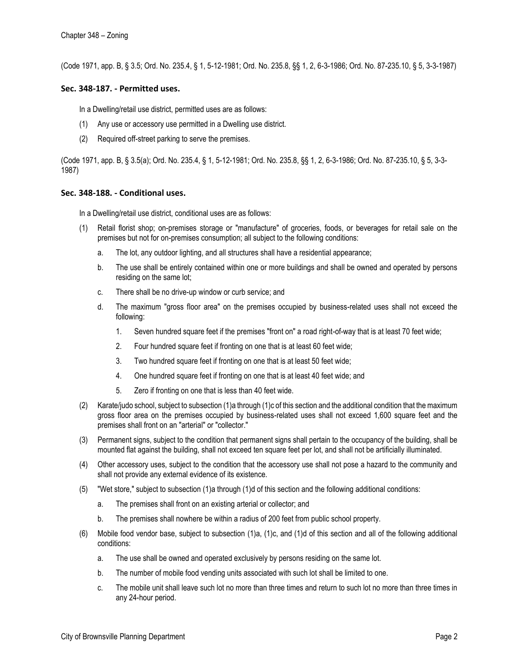(Code 1971, app. B, § 3.5; Ord. No. 235.4, § 1, 5-12-1981; Ord. No. 235.8, §§ 1, 2, 6-3-1986; Ord. No. 87-235.10, § 5, 3-3-1987)

## **Sec. 348-187. - Permitted uses.**

In a Dwelling/retail use district, permitted uses are as follows:

- (1) Any use or accessory use permitted in a Dwelling use district.
- (2) Required off-street parking to serve the premises.

(Code 1971, app. B, § 3.5(a); Ord. No. 235.4, § 1, 5-12-1981; Ord. No. 235.8, §§ 1, 2, 6-3-1986; Ord. No. 87-235.10, § 5, 3-3- 1987)

## **Sec. 348-188. - Conditional uses.**

In a Dwelling/retail use district, conditional uses are as follows:

- Retail florist shop; on-premises storage or "manufacture" of groceries, foods, or beverages for retail sale on the premises but not for on-premises consumption; all subject to the following conditions:
	- a. The lot, any outdoor lighting, and all structures shall have a residential appearance;
	- b. The use shall be entirely contained within one or more buildings and shall be owned and operated by persons residing on the same lot;
	- c. There shall be no drive-up window or curb service; and
	- d. The maximum "gross floor area" on the premises occupied by business-related uses shall not exceed the following:
		- 1. Seven hundred square feet if the premises "front on" a road right-of-way that is at least 70 feet wide;
		- 2. Four hundred square feet if fronting on one that is at least 60 feet wide;
		- 3. Two hundred square feet if fronting on one that is at least 50 feet wide;
		- 4. One hundred square feet if fronting on one that is at least 40 feet wide; and
		- 5. Zero if fronting on one that is less than 40 feet wide.
- (2) Karate/judo school, subject to subsection (1)a through (1)c of this section and the additional condition that the maximum gross floor area on the premises occupied by business-related uses shall not exceed 1,600 square feet and the premises shall front on an "arterial" or "collector."
- (3) Permanent signs, subject to the condition that permanent signs shall pertain to the occupancy of the building, shall be mounted flat against the building, shall not exceed ten square feet per lot, and shall not be artificially illuminated.
- (4) Other accessory uses, subject to the condition that the accessory use shall not pose a hazard to the community and shall not provide any external evidence of its existence.
- (5) "Wet store," subject to subsection (1)a through (1)d of this section and the following additional conditions:
	- a. The premises shall front on an existing arterial or collector; and
	- b. The premises shall nowhere be within a radius of 200 feet from public school property.
- (6) Mobile food vendor base, subject to subsection (1)a, (1)c, and (1)d of this section and all of the following additional conditions:
	- a. The use shall be owned and operated exclusively by persons residing on the same lot.
	- b. The number of mobile food vending units associated with such lot shall be limited to one.
	- c. The mobile unit shall leave such lot no more than three times and return to such lot no more than three times in any 24-hour period.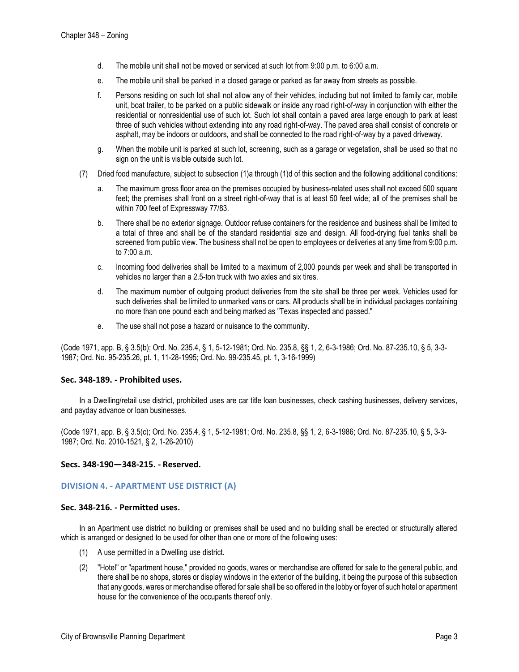- d. The mobile unit shall not be moved or serviced at such lot from 9:00 p.m. to 6:00 a.m.
- e. The mobile unit shall be parked in a closed garage or parked as far away from streets as possible.
- f. Persons residing on such lot shall not allow any of their vehicles, including but not limited to family car, mobile unit, boat trailer, to be parked on a public sidewalk or inside any road right-of-way in conjunction with either the residential or nonresidential use of such lot. Such lot shall contain a paved area large enough to park at least three of such vehicles without extending into any road right-of-way. The paved area shall consist of concrete or asphalt, may be indoors or outdoors, and shall be connected to the road right-of-way by a paved driveway.
- g. When the mobile unit is parked at such lot, screening, such as a garage or vegetation, shall be used so that no sign on the unit is visible outside such lot.
- (7) Dried food manufacture, subject to subsection (1)a through (1)d of this section and the following additional conditions:
	- a. The maximum gross floor area on the premises occupied by business-related uses shall not exceed 500 square feet; the premises shall front on a street right-of-way that is at least 50 feet wide; all of the premises shall be within 700 feet of Expressway 77/83.
	- b. There shall be no exterior signage. Outdoor refuse containers for the residence and business shall be limited to a total of three and shall be of the standard residential size and design. All food-drying fuel tanks shall be screened from public view. The business shall not be open to employees or deliveries at any time from 9:00 p.m. to 7:00 a.m.
	- c. Incoming food deliveries shall be limited to a maximum of 2,000 pounds per week and shall be transported in vehicles no larger than a 2.5-ton truck with two axles and six tires.
	- d. The maximum number of outgoing product deliveries from the site shall be three per week. Vehicles used for such deliveries shall be limited to unmarked vans or cars. All products shall be in individual packages containing no more than one pound each and being marked as "Texas inspected and passed."
	- e. The use shall not pose a hazard or nuisance to the community.

(Code 1971, app. B, § 3.5(b); Ord. No. 235.4, § 1, 5-12-1981; Ord. No. 235.8, §§ 1, 2, 6-3-1986; Ord. No. 87-235.10, § 5, 3-3- 1987; Ord. No. 95-235.26, pt. 1, 11-28-1995; Ord. No. 99-235.45, pt. 1, 3-16-1999)

# **Sec. 348-189. - Prohibited uses.**

In a Dwelling/retail use district, prohibited uses are car title loan businesses, check cashing businesses, delivery services, and payday advance or loan businesses.

(Code 1971, app. B, § 3.5(c); Ord. No. 235.4, § 1, 5-12-1981; Ord. No. 235.8, §§ 1, 2, 6-3-1986; Ord. No. 87-235.10, § 5, 3-3- 1987; Ord. No. 2010-1521, § 2, 1-26-2010)

**Secs. 348-190—348-215. - Reserved.** 

# **DIVISION 4. - APARTMENT USE DISTRICT (A)**

#### **Sec. 348-216. - Permitted uses.**

In an Apartment use district no building or premises shall be used and no building shall be erected or structurally altered which is arranged or designed to be used for other than one or more of the following uses:

- (1) A use permitted in a Dwelling use district.
- (2) "Hotel" or "apartment house," provided no goods, wares or merchandise are offered for sale to the general public, and there shall be no shops, stores or display windows in the exterior of the building, it being the purpose of this subsection that any goods, wares or merchandise offered for sale shall be so offered in the lobby or foyer of such hotel or apartment house for the convenience of the occupants thereof only.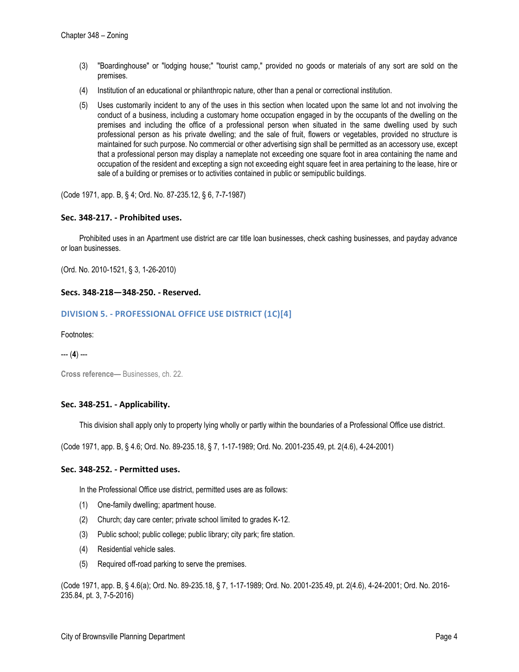- (3) "Boardinghouse" or "lodging house;" "tourist camp," provided no goods or materials of any sort are sold on the premises.
- (4) Institution of an educational or philanthropic nature, other than a penal or correctional institution.
- (5) Uses customarily incident to any of the uses in this section when located upon the same lot and not involving the conduct of a business, including a customary home occupation engaged in by the occupants of the dwelling on the premises and including the office of a professional person when situated in the same dwelling used by such professional person as his private dwelling; and the sale of fruit, flowers or vegetables, provided no structure is maintained for such purpose. No commercial or other advertising sign shall be permitted as an accessory use, except that a professional person may display a nameplate not exceeding one square foot in area containing the name and occupation of the resident and excepting a sign not exceeding eight square feet in area pertaining to the lease, hire or sale of a building or premises or to activities contained in public or semipublic buildings.

(Code 1971, app. B, § 4; Ord. No. 87-235.12, § 6, 7-7-1987)

## **Sec. 348-217. - Prohibited uses.**

Prohibited uses in an Apartment use district are car title loan businesses, check cashing businesses, and payday advance or loan businesses.

(Ord. No. 2010-1521, § 3, 1-26-2010)

## **Secs. 348-218—348-250. - Reserved.**

## **DIVISION 5. - PROFESSIONAL OFFICE USE DISTRICT (1C)[4]**

Footnotes:

--- (**4**) ---

**Cross reference—** Businesses, ch. 22.

# **Sec. 348-251. - Applicability.**

This division shall apply only to property lying wholly or partly within the boundaries of a Professional Office use district.

(Code 1971, app. B, § 4.6; Ord. No. 89-235.18, § 7, 1-17-1989; Ord. No. 2001-235.49, pt. 2(4.6), 4-24-2001)

#### **Sec. 348-252. - Permitted uses.**

In the Professional Office use district, permitted uses are as follows:

- (1) One-family dwelling; apartment house.
- (2) Church; day care center; private school limited to grades K-12.
- (3) Public school; public college; public library; city park; fire station.
- (4) Residential vehicle sales.
- (5) Required off-road parking to serve the premises.

(Code 1971, app. B, § 4.6(a); Ord. No. 89-235.18, § 7, 1-17-1989; Ord. No. 2001-235.49, pt. 2(4.6), 4-24-2001; Ord. No. 2016- 235.84, pt. 3, 7-5-2016)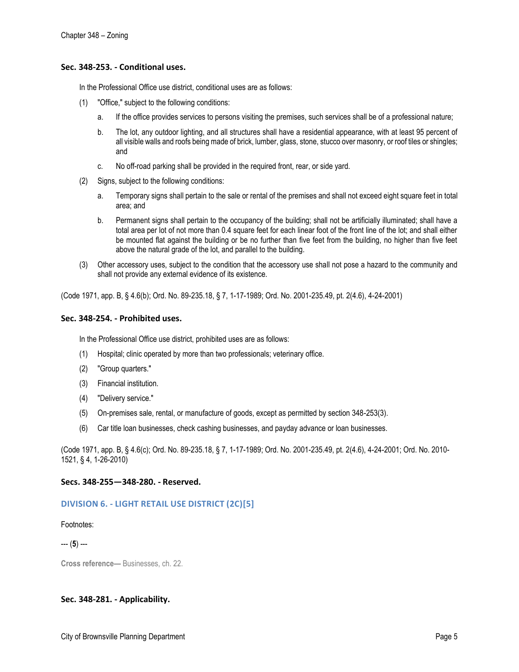## **Sec. 348-253. - Conditional uses.**

In the Professional Office use district, conditional uses are as follows:

- (1) "Office," subject to the following conditions:
	- a. If the office provides services to persons visiting the premises, such services shall be of a professional nature;
	- b. The lot, any outdoor lighting, and all structures shall have a residential appearance, with at least 95 percent of all visible walls and roofs being made of brick, lumber, glass, stone, stucco over masonry, or roof tiles or shingles; and
	- c. No off-road parking shall be provided in the required front, rear, or side yard.
- (2) Signs, subject to the following conditions:
	- a. Temporary signs shall pertain to the sale or rental of the premises and shall not exceed eight square feet in total area; and
	- b. Permanent signs shall pertain to the occupancy of the building; shall not be artificially illuminated; shall have a total area per lot of not more than 0.4 square feet for each linear foot of the front line of the lot; and shall either be mounted flat against the building or be no further than five feet from the building, no higher than five feet above the natural grade of the lot, and parallel to the building.
- (3) Other accessory uses, subject to the condition that the accessory use shall not pose a hazard to the community and shall not provide any external evidence of its existence.

(Code 1971, app. B, § 4.6(b); Ord. No. 89-235.18, § 7, 1-17-1989; Ord. No. 2001-235.49, pt. 2(4.6), 4-24-2001)

## **Sec. 348-254. - Prohibited uses.**

In the Professional Office use district, prohibited uses are as follows:

- (1) Hospital; clinic operated by more than two professionals; veterinary office.
- (2) "Group quarters."
- (3) Financial institution.
- (4) "Delivery service."
- (5) On-premises sale, rental, or manufacture of goods, except as permitted by section 348-253(3).
- (6) Car title loan businesses, check cashing businesses, and payday advance or loan businesses.

(Code 1971, app. B, § 4.6(c); Ord. No. 89-235.18, § 7, 1-17-1989; Ord. No. 2001-235.49, pt. 2(4.6), 4-24-2001; Ord. No. 2010- 1521, § 4, 1-26-2010)

# **Secs. 348-255—348-280. - Reserved.**

# **DIVISION 6. - LIGHT RETAIL USE DISTRICT (2C)[5]**

Footnotes:

--- (**5**) ---

**Cross reference—** Businesses, ch. 22.

# **Sec. 348-281. - Applicability.**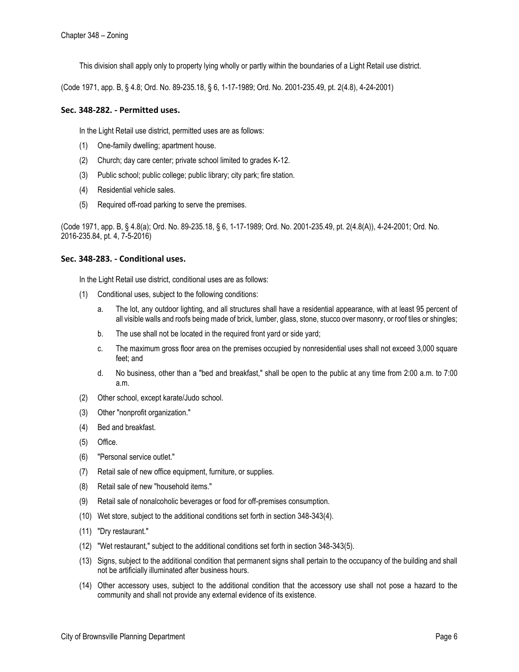This division shall apply only to property lying wholly or partly within the boundaries of a Light Retail use district.

(Code 1971, app. B, § 4.8; Ord. No. 89-235.18, § 6, 1-17-1989; Ord. No. 2001-235.49, pt. 2(4.8), 4-24-2001)

# **Sec. 348-282. - Permitted uses.**

In the Light Retail use district, permitted uses are as follows:

- (1) One-family dwelling; apartment house.
- (2) Church; day care center; private school limited to grades K-12.
- (3) Public school; public college; public library; city park; fire station.
- (4) Residential vehicle sales.
- (5) Required off-road parking to serve the premises.

(Code 1971, app. B, § 4.8(a); Ord. No. 89-235.18, § 6, 1-17-1989; Ord. No. 2001-235.49, pt. 2(4.8(A)), 4-24-2001; Ord. No. 2016-235.84, pt. 4, 7-5-2016)

# **Sec. 348-283. - Conditional uses.**

In the Light Retail use district, conditional uses are as follows:

- (1) Conditional uses, subject to the following conditions:
	- a. The lot, any outdoor lighting, and all structures shall have a residential appearance, with at least 95 percent of all visible walls and roofs being made of brick, lumber, glass, stone, stucco over masonry, or roof tiles or shingles;
	- b. The use shall not be located in the required front yard or side yard;
	- c. The maximum gross floor area on the premises occupied by nonresidential uses shall not exceed 3,000 square feet; and
	- d. No business, other than a "bed and breakfast," shall be open to the public at any time from 2:00 a.m. to 7:00 a.m.
- (2) Other school, except karate/Judo school.
- (3) Other "nonprofit organization."
- (4) Bed and breakfast.
- (5) Office.
- (6) "Personal service outlet."
- (7) Retail sale of new office equipment, furniture, or supplies.
- (8) Retail sale of new "household items."
- (9) Retail sale of nonalcoholic beverages or food for off-premises consumption.
- (10) Wet store, subject to the additional conditions set forth in section 348-343(4).
- (11) "Dry restaurant."
- (12) "Wet restaurant," subject to the additional conditions set forth in section 348-343(5).
- (13) Signs, subject to the additional condition that permanent signs shall pertain to the occupancy of the building and shall not be artificially illuminated after business hours.
- (14) Other accessory uses, subject to the additional condition that the accessory use shall not pose a hazard to the community and shall not provide any external evidence of its existence.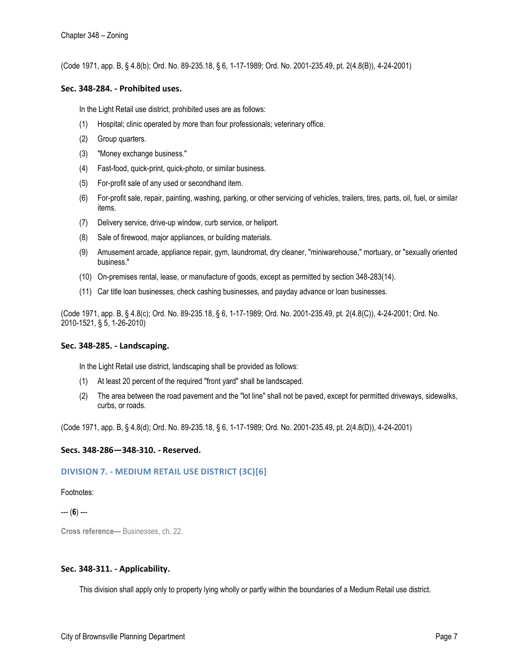(Code 1971, app. B, § 4.8(b); Ord. No. 89-235.18, § 6, 1-17-1989; Ord. No. 2001-235.49, pt. 2(4.8(B)), 4-24-2001)

#### **Sec. 348-284. - Prohibited uses.**

In the Light Retail use district, prohibited uses are as follows:

- (1) Hospital; clinic operated by more than four professionals; veterinary office.
- (2) Group quarters.
- (3) "Money exchange business."
- (4) Fast-food, quick-print, quick-photo, or similar business.
- (5) For-profit sale of any used or secondhand item.
- (6) For-profit sale, repair, painting, washing, parking, or other servicing of vehicles, trailers, tires, parts, oil, fuel, or similar items.
- (7) Delivery service, drive-up window, curb service, or heliport.
- (8) Sale of firewood, major appliances, or building materials.
- (9) Amusement arcade, appliance repair, gym, laundromat, dry cleaner, "miniwarehouse," mortuary, or "sexually oriented business."
- (10) On-premises rental, lease, or manufacture of goods, except as permitted by section 348-283(14).
- (11) Car title loan businesses, check cashing businesses, and payday advance or loan businesses.

(Code 1971, app. B, § 4.8(c); Ord. No. 89-235.18, § 6, 1-17-1989; Ord. No. 2001-235.49, pt. 2(4.8(C)), 4-24-2001; Ord. No. 2010-1521, § 5, 1-26-2010)

# **Sec. 348-285. - Landscaping.**

In the Light Retail use district, landscaping shall be provided as follows:

- (1) At least 20 percent of the required "front yard" shall be landscaped.
- (2) The area between the road pavement and the "lot line" shall not be paved, except for permitted driveways, sidewalks, curbs, or roads.

(Code 1971, app. B, § 4.8(d); Ord. No. 89-235.18, § 6, 1-17-1989; Ord. No. 2001-235.49, pt. 2(4.8(D)), 4-24-2001)

# **Secs. 348-286—348-310. - Reserved.**

# **DIVISION 7. - MEDIUM RETAIL USE DISTRICT (3C)[6]**

#### Footnotes:

--- (**6**) ---

**Cross reference—** Businesses, ch. 22.

# **Sec. 348-311. - Applicability.**

This division shall apply only to property lying wholly or partly within the boundaries of a Medium Retail use district.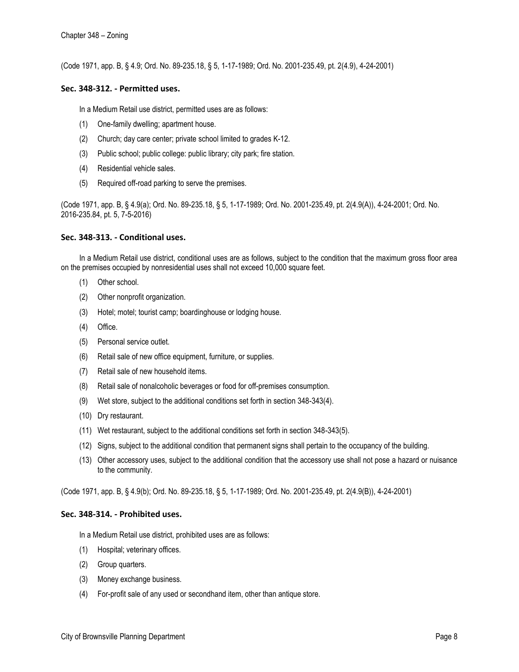(Code 1971, app. B, § 4.9; Ord. No. 89-235.18, § 5, 1-17-1989; Ord. No. 2001-235.49, pt. 2(4.9), 4-24-2001)

## **Sec. 348-312. - Permitted uses.**

In a Medium Retail use district, permitted uses are as follows:

- (1) One-family dwelling; apartment house.
- (2) Church; day care center; private school limited to grades K-12.
- (3) Public school; public college: public library; city park; fire station.
- (4) Residential vehicle sales.
- (5) Required off-road parking to serve the premises.

(Code 1971, app. B, § 4.9(a); Ord. No. 89-235.18, § 5, 1-17-1989; Ord. No. 2001-235.49, pt. 2(4.9(A)), 4-24-2001; Ord. No. 2016-235.84, pt. 5, 7-5-2016)

## **Sec. 348-313. - Conditional uses.**

In a Medium Retail use district, conditional uses are as follows, subject to the condition that the maximum gross floor area on the premises occupied by nonresidential uses shall not exceed 10,000 square feet.

- (1) Other school.
- (2) Other nonprofit organization.
- (3) Hotel; motel; tourist camp; boardinghouse or lodging house.
- (4) Office.
- (5) Personal service outlet.
- (6) Retail sale of new office equipment, furniture, or supplies.
- (7) Retail sale of new household items.
- (8) Retail sale of nonalcoholic beverages or food for off-premises consumption.
- (9) Wet store, subject to the additional conditions set forth in section 348-343(4).
- (10) Dry restaurant.
- (11) Wet restaurant, subject to the additional conditions set forth in section 348-343(5).
- (12) Signs, subject to the additional condition that permanent signs shall pertain to the occupancy of the building.
- (13) Other accessory uses, subject to the additional condition that the accessory use shall not pose a hazard or nuisance to the community.

(Code 1971, app. B, § 4.9(b); Ord. No. 89-235.18, § 5, 1-17-1989; Ord. No. 2001-235.49, pt. 2(4.9(B)), 4-24-2001)

#### **Sec. 348-314. - Prohibited uses.**

In a Medium Retail use district, prohibited uses are as follows:

- (1) Hospital; veterinary offices.
- (2) Group quarters.
- (3) Money exchange business.
- (4) For-profit sale of any used or secondhand item, other than antique store.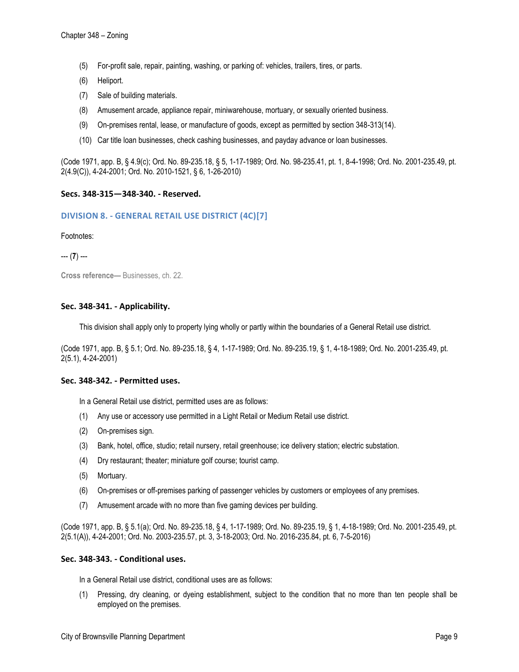- (5) For-profit sale, repair, painting, washing, or parking of: vehicles, trailers, tires, or parts.
- (6) Heliport.
- (7) Sale of building materials.
- (8) Amusement arcade, appliance repair, miniwarehouse, mortuary, or sexually oriented business.
- (9) On-premises rental, lease, or manufacture of goods, except as permitted by section 348-313(14).
- (10) Car title loan businesses, check cashing businesses, and payday advance or loan businesses.

(Code 1971, app. B, § 4.9(c); Ord. No. 89-235.18, § 5, 1-17-1989; Ord. No. 98-235.41, pt. 1, 8-4-1998; Ord. No. 2001-235.49, pt. 2(4.9(C)), 4-24-2001; Ord. No. 2010-1521, § 6, 1-26-2010)

## **Secs. 348-315—348-340. - Reserved.**

## **DIVISION 8. - GENERAL RETAIL USE DISTRICT (4C)[7]**

Footnotes:

--- (**7**) ---

**Cross reference—** Businesses, ch. 22.

## **Sec. 348-341. - Applicability.**

This division shall apply only to property lying wholly or partly within the boundaries of a General Retail use district.

(Code 1971, app. B, § 5.1; Ord. No. 89-235.18, § 4, 1-17-1989; Ord. No. 89-235.19, § 1, 4-18-1989; Ord. No. 2001-235.49, pt. 2(5.1), 4-24-2001)

#### **Sec. 348-342. - Permitted uses.**

In a General Retail use district, permitted uses are as follows:

- (1) Any use or accessory use permitted in a Light Retail or Medium Retail use district.
- (2) On-premises sign.
- (3) Bank, hotel, office, studio; retail nursery, retail greenhouse; ice delivery station; electric substation.
- (4) Dry restaurant; theater; miniature golf course; tourist camp.
- (5) Mortuary.
- (6) On-premises or off-premises parking of passenger vehicles by customers or employees of any premises.
- (7) Amusement arcade with no more than five gaming devices per building.

(Code 1971, app. B, § 5.1(a); Ord. No. 89-235.18, § 4, 1-17-1989; Ord. No. 89-235.19, § 1, 4-18-1989; Ord. No. 2001-235.49, pt. 2(5.1(A)), 4-24-2001; Ord. No. 2003-235.57, pt. 3, 3-18-2003; Ord. No. 2016-235.84, pt. 6, 7-5-2016)

## **Sec. 348-343. - Conditional uses.**

In a General Retail use district, conditional uses are as follows:

(1) Pressing, dry cleaning, or dyeing establishment, subject to the condition that no more than ten people shall be employed on the premises.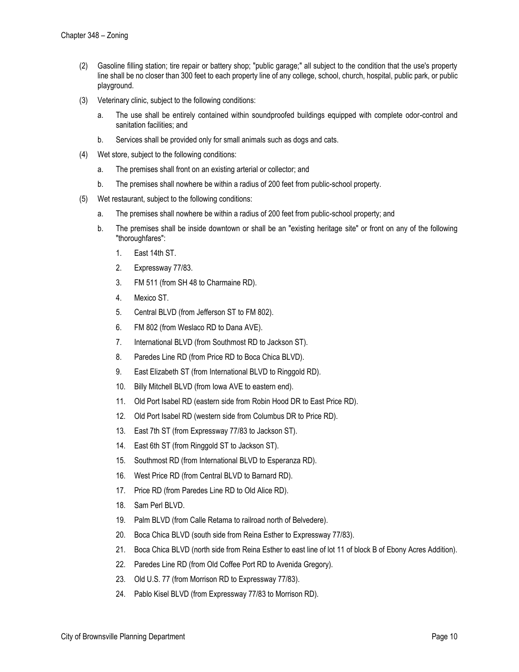- (2) Gasoline filling station; tire repair or battery shop; "public garage;" all subject to the condition that the use's property line shall be no closer than 300 feet to each property line of any college, school, church, hospital, public park, or public playground.
- (3) Veterinary clinic, subject to the following conditions:
	- a. The use shall be entirely contained within soundproofed buildings equipped with complete odor-control and sanitation facilities; and
	- b. Services shall be provided only for small animals such as dogs and cats.
- (4) Wet store, subject to the following conditions:
	- a. The premises shall front on an existing arterial or collector; and
	- b. The premises shall nowhere be within a radius of 200 feet from public-school property.
- (5) Wet restaurant, subject to the following conditions:
	- a. The premises shall nowhere be within a radius of 200 feet from public-school property; and
	- b. The premises shall be inside downtown or shall be an "existing heritage site" or front on any of the following "thoroughfares":
		- 1. East 14th ST.
		- 2. Expressway 77/83.
		- 3. FM 511 (from SH 48 to Charmaine RD).
		- 4. Mexico ST.
		- 5. Central BLVD (from Jefferson ST to FM 802).
		- 6. FM 802 (from Weslaco RD to Dana AVE).
		- 7. International BLVD (from Southmost RD to Jackson ST).
		- 8. Paredes Line RD (from Price RD to Boca Chica BLVD).
		- 9. East Elizabeth ST (from International BLVD to Ringgold RD).
		- 10. Billy Mitchell BLVD (from Iowa AVE to eastern end).
		- 11. Old Port Isabel RD (eastern side from Robin Hood DR to East Price RD).
		- 12. Old Port Isabel RD (western side from Columbus DR to Price RD).
		- 13. East 7th ST (from Expressway 77/83 to Jackson ST).
		- 14. East 6th ST (from Ringgold ST to Jackson ST).
		- 15. Southmost RD (from International BLVD to Esperanza RD).
		- 16. West Price RD (from Central BLVD to Barnard RD).
		- 17. Price RD (from Paredes Line RD to Old Alice RD).
		- 18. Sam Perl BLVD.
		- 19. Palm BLVD (from Calle Retama to railroad north of Belvedere).
		- 20. Boca Chica BLVD (south side from Reina Esther to Expressway 77/83).
		- 21. Boca Chica BLVD (north side from Reina Esther to east line of lot 11 of block B of Ebony Acres Addition).
		- 22. Paredes Line RD (from Old Coffee Port RD to Avenida Gregory).
		- 23. Old U.S. 77 (from Morrison RD to Expressway 77/83).
		- 24. Pablo Kisel BLVD (from Expressway 77/83 to Morrison RD).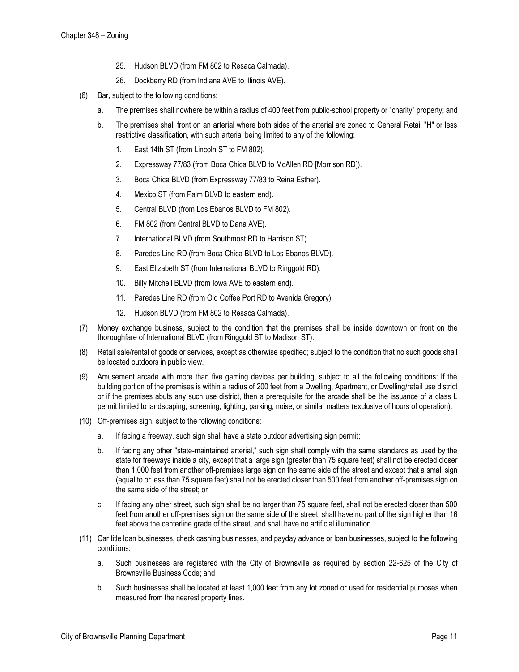- 25. Hudson BLVD (from FM 802 to Resaca Calmada).
- 26. Dockberry RD (from Indiana AVE to Illinois AVE).
- (6) Bar, subject to the following conditions:
	- a. The premises shall nowhere be within a radius of 400 feet from public-school property or "charity" property; and
	- b. The premises shall front on an arterial where both sides of the arterial are zoned to General Retail "H" or less restrictive classification, with such arterial being limited to any of the following:
		- 1. East 14th ST (from Lincoln ST to FM 802).
		- 2. Expressway 77/83 (from Boca Chica BLVD to McAllen RD [Morrison RD]).
		- 3. Boca Chica BLVD (from Expressway 77/83 to Reina Esther).
		- 4. Mexico ST (from Palm BLVD to eastern end).
		- 5. Central BLVD (from Los Ebanos BLVD to FM 802).
		- 6. FM 802 (from Central BLVD to Dana AVE).
		- 7. International BLVD (from Southmost RD to Harrison ST).
		- 8. Paredes Line RD (from Boca Chica BLVD to Los Ebanos BLVD).
		- 9. East Elizabeth ST (from International BLVD to Ringgold RD).
		- 10. Billy Mitchell BLVD (from Iowa AVE to eastern end).
		- 11. Paredes Line RD (from Old Coffee Port RD to Avenida Gregory).
		- 12. Hudson BLVD (from FM 802 to Resaca Calmada).
- (7) Money exchange business, subject to the condition that the premises shall be inside downtown or front on the thoroughfare of International BLVD (from Ringgold ST to Madison ST).
- (8) Retail sale/rental of goods or services, except as otherwise specified; subject to the condition that no such goods shall be located outdoors in public view.
- (9) Amusement arcade with more than five gaming devices per building, subject to all the following conditions: If the building portion of the premises is within a radius of 200 feet from a Dwelling, Apartment, or Dwelling/retail use district or if the premises abuts any such use district, then a prerequisite for the arcade shall be the issuance of a class L permit limited to landscaping, screening, lighting, parking, noise, or similar matters (exclusive of hours of operation).
- (10) Off-premises sign, subject to the following conditions:
	- a. If facing a freeway, such sign shall have a state outdoor advertising sign permit;
	- b. If facing any other "state-maintained arterial," such sign shall comply with the same standards as used by the state for freeways inside a city, except that a large sign (greater than 75 square feet) shall not be erected closer than 1,000 feet from another off-premises large sign on the same side of the street and except that a small sign (equal to or less than 75 square feet) shall not be erected closer than 500 feet from another off-premises sign on the same side of the street; or
	- c. If facing any other street, such sign shall be no larger than 75 square feet, shall not be erected closer than 500 feet from another off-premises sign on the same side of the street, shall have no part of the sign higher than 16 feet above the centerline grade of the street, and shall have no artificial illumination.
- (11) Car title loan businesses, check cashing businesses, and payday advance or loan businesses, subject to the following conditions:
	- a. Such businesses are registered with the City of Brownsville as required by section 22-625 of the City of Brownsville Business Code; and
	- b. Such businesses shall be located at least 1,000 feet from any lot zoned or used for residential purposes when measured from the nearest property lines.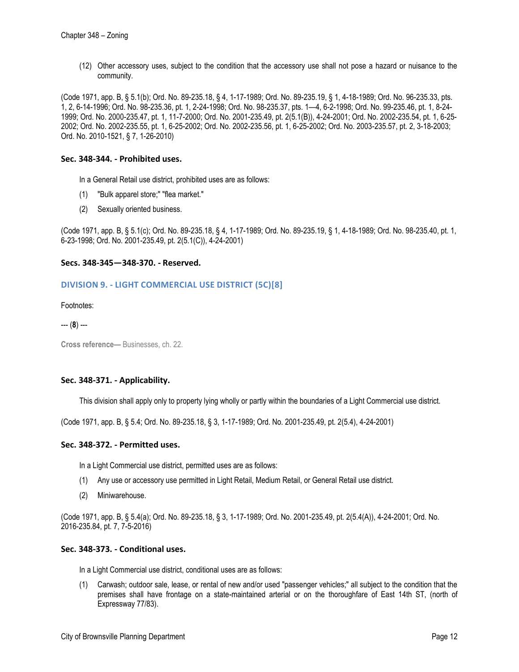(12) Other accessory uses, subject to the condition that the accessory use shall not pose a hazard or nuisance to the community.

(Code 1971, app. B, § 5.1(b); Ord. No. 89-235.18, § 4, 1-17-1989; Ord. No. 89-235.19, § 1, 4-18-1989; Ord. No. 96-235.33, pts. 1, 2, 6-14-1996; Ord. No. 98-235.36, pt. 1, 2-24-1998; Ord. No. 98-235.37, pts. 1—4, 6-2-1998; Ord. No. 99-235.46, pt. 1, 8-24- 1999; Ord. No. 2000-235.47, pt. 1, 11-7-2000; Ord. No. 2001-235.49, pt. 2(5.1(B)), 4-24-2001; Ord. No. 2002-235.54, pt. 1, 6-25- 2002; Ord. No. 2002-235.55, pt. 1, 6-25-2002; Ord. No. 2002-235.56, pt. 1, 6-25-2002; Ord. No. 2003-235.57, pt. 2, 3-18-2003; Ord. No. 2010-1521, § 7, 1-26-2010)

## **Sec. 348-344. - Prohibited uses.**

- In a General Retail use district, prohibited uses are as follows:
- (1) "Bulk apparel store;" "flea market."
- (2) Sexually oriented business.

(Code 1971, app. B, § 5.1(c); Ord. No. 89-235.18, § 4, 1-17-1989; Ord. No. 89-235.19, § 1, 4-18-1989; Ord. No. 98-235.40, pt. 1, 6-23-1998; Ord. No. 2001-235.49, pt. 2(5.1(C)), 4-24-2001)

## **Secs. 348-345—348-370. - Reserved.**

# **DIVISION 9. - LIGHT COMMERCIAL USE DISTRICT (5C)[8]**

Footnotes:

--- (**8**) ---

**Cross reference—** Businesses, ch. 22.

#### **Sec. 348-371. - Applicability.**

This division shall apply only to property lying wholly or partly within the boundaries of a Light Commercial use district.

(Code 1971, app. B, § 5.4; Ord. No. 89-235.18, § 3, 1-17-1989; Ord. No. 2001-235.49, pt. 2(5.4), 4-24-2001)

#### **Sec. 348-372. - Permitted uses.**

In a Light Commercial use district, permitted uses are as follows:

- (1) Any use or accessory use permitted in Light Retail, Medium Retail, or General Retail use district.
- (2) Miniwarehouse.

(Code 1971, app. B, § 5.4(a); Ord. No. 89-235.18, § 3, 1-17-1989; Ord. No. 2001-235.49, pt. 2(5.4(A)), 4-24-2001; Ord. No. 2016-235.84, pt. 7, 7-5-2016)

## **Sec. 348-373. - Conditional uses.**

In a Light Commercial use district, conditional uses are as follows:

(1) Carwash; outdoor sale, lease, or rental of new and/or used "passenger vehicles;" all subject to the condition that the premises shall have frontage on a state-maintained arterial or on the thoroughfare of East 14th ST, (north of Expressway 77/83).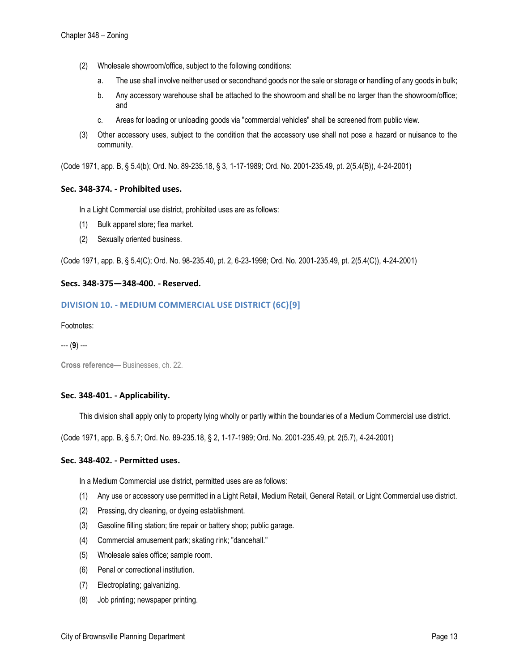- (2) Wholesale showroom/office, subject to the following conditions:
	- a. The use shall involve neither used or secondhand goods nor the sale or storage or handling of any goods in bulk;
	- b. Any accessory warehouse shall be attached to the showroom and shall be no larger than the showroom/office; and
	- c. Areas for loading or unloading goods via "commercial vehicles" shall be screened from public view.
- (3) Other accessory uses, subject to the condition that the accessory use shall not pose a hazard or nuisance to the community.

(Code 1971, app. B, § 5.4(b); Ord. No. 89-235.18, § 3, 1-17-1989; Ord. No. 2001-235.49, pt. 2(5.4(B)), 4-24-2001)

## **Sec. 348-374. - Prohibited uses.**

In a Light Commercial use district, prohibited uses are as follows:

- (1) Bulk apparel store; flea market.
- (2) Sexually oriented business.

(Code 1971, app. B, § 5.4(C); Ord. No. 98-235.40, pt. 2, 6-23-1998; Ord. No. 2001-235.49, pt. 2(5.4(C)), 4-24-2001)

## **Secs. 348-375—348-400. - Reserved.**

# **DIVISION 10. - MEDIUM COMMERCIAL USE DISTRICT (6C)[9]**

#### Footnotes:

--- (**9**) ---

**Cross reference—** Businesses, ch. 22.

#### **Sec. 348-401. - Applicability.**

This division shall apply only to property lying wholly or partly within the boundaries of a Medium Commercial use district.

(Code 1971, app. B, § 5.7; Ord. No. 89-235.18, § 2, 1-17-1989; Ord. No. 2001-235.49, pt. 2(5.7), 4-24-2001)

#### **Sec. 348-402. - Permitted uses.**

In a Medium Commercial use district, permitted uses are as follows:

- (1) Any use or accessory use permitted in a Light Retail, Medium Retail, General Retail, or Light Commercial use district.
- (2) Pressing, dry cleaning, or dyeing establishment.
- (3) Gasoline filling station; tire repair or battery shop; public garage.
- (4) Commercial amusement park; skating rink; "dancehall."
- (5) Wholesale sales office; sample room.
- (6) Penal or correctional institution.
- (7) Electroplating; galvanizing.
- (8) Job printing; newspaper printing.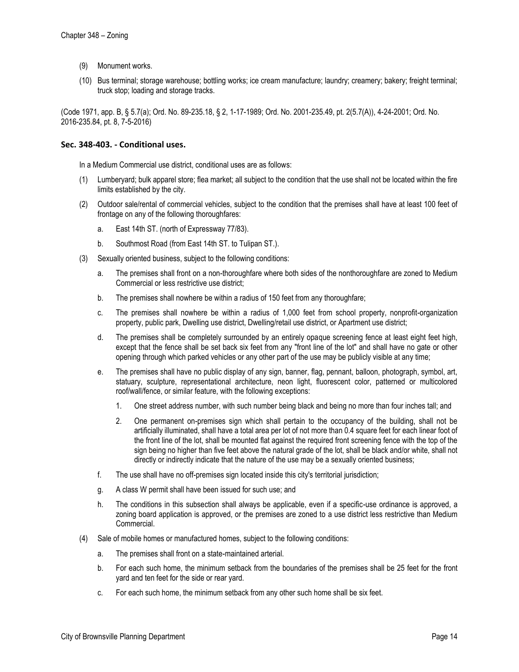- (9) Monument works.
- (10) Bus terminal; storage warehouse; bottling works; ice cream manufacture; laundry; creamery; bakery; freight terminal; truck stop; loading and storage tracks.

(Code 1971, app. B, § 5.7(a); Ord. No. 89-235.18, § 2, 1-17-1989; Ord. No. 2001-235.49, pt. 2(5.7(A)), 4-24-2001; Ord. No. 2016-235.84, pt. 8, 7-5-2016)

## **Sec. 348-403. - Conditional uses.**

In a Medium Commercial use district, conditional uses are as follows:

- (1) Lumberyard; bulk apparel store; flea market; all subject to the condition that the use shall not be located within the fire limits established by the city.
- (2) Outdoor sale/rental of commercial vehicles, subject to the condition that the premises shall have at least 100 feet of frontage on any of the following thoroughfares:
	- a. East 14th ST. (north of Expressway 77/83).
	- b. Southmost Road (from East 14th ST. to Tulipan ST.).
- (3) Sexually oriented business, subject to the following conditions:
	- a. The premises shall front on a non-thoroughfare where both sides of the nonthoroughfare are zoned to Medium Commercial or less restrictive use district;
	- b. The premises shall nowhere be within a radius of 150 feet from any thoroughfare;
	- c. The premises shall nowhere be within a radius of 1,000 feet from school property, nonprofit-organization property, public park, Dwelling use district, Dwelling/retail use district, or Apartment use district;
	- d. The premises shall be completely surrounded by an entirely opaque screening fence at least eight feet high, except that the fence shall be set back six feet from any "front line of the lot" and shall have no gate or other opening through which parked vehicles or any other part of the use may be publicly visible at any time;
	- e. The premises shall have no public display of any sign, banner, flag, pennant, balloon, photograph, symbol, art, statuary, sculpture, representational architecture, neon light, fluorescent color, patterned or multicolored roof/wall/fence, or similar feature, with the following exceptions:
		- 1. One street address number, with such number being black and being no more than four inches tall; and
		- 2. One permanent on-premises sign which shall pertain to the occupancy of the building, shall not be artificially illuminated, shall have a total area per lot of not more than 0.4 square feet for each linear foot of the front line of the lot, shall be mounted flat against the required front screening fence with the top of the sign being no higher than five feet above the natural grade of the lot, shall be black and/or white, shall not directly or indirectly indicate that the nature of the use may be a sexually oriented business;
	- f. The use shall have no off-premises sign located inside this city's territorial jurisdiction;
	- g. A class W permit shall have been issued for such use; and
	- h. The conditions in this subsection shall always be applicable, even if a specific-use ordinance is approved, a zoning board application is approved, or the premises are zoned to a use district less restrictive than Medium Commercial.
- (4) Sale of mobile homes or manufactured homes, subject to the following conditions:
	- a. The premises shall front on a state-maintained arterial.
	- b. For each such home, the minimum setback from the boundaries of the premises shall be 25 feet for the front yard and ten feet for the side or rear yard.
	- c. For each such home, the minimum setback from any other such home shall be six feet.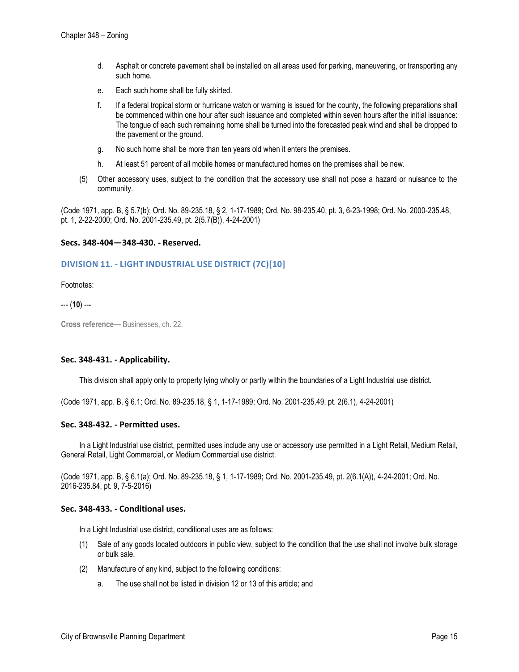- d. Asphalt or concrete pavement shall be installed on all areas used for parking, maneuvering, or transporting any such home.
- e. Each such home shall be fully skirted.
- f. If a federal tropical storm or hurricane watch or warning is issued for the county, the following preparations shall be commenced within one hour after such issuance and completed within seven hours after the initial issuance: The tongue of each such remaining home shall be turned into the forecasted peak wind and shall be dropped to the pavement or the ground.
- g. No such home shall be more than ten years old when it enters the premises.
- h. At least 51 percent of all mobile homes or manufactured homes on the premises shall be new.
- (5) Other accessory uses, subject to the condition that the accessory use shall not pose a hazard or nuisance to the community.

(Code 1971, app. B, § 5.7(b); Ord. No. 89-235.18, § 2, 1-17-1989; Ord. No. 98-235.40, pt. 3, 6-23-1998; Ord. No. 2000-235.48, pt. 1, 2-22-2000; Ord. No. 2001-235.49, pt. 2(5.7(B)), 4-24-2001)

## **Secs. 348-404—348-430. - Reserved.**

# **DIVISION 11. - LIGHT INDUSTRIAL USE DISTRICT (7C)[10]**

Footnotes:

--- (**10**) ---

**Cross reference—** Businesses, ch. 22.

# **Sec. 348-431. - Applicability.**

This division shall apply only to property lying wholly or partly within the boundaries of a Light Industrial use district.

(Code 1971, app. B, § 6.1; Ord. No. 89-235.18, § 1, 1-17-1989; Ord. No. 2001-235.49, pt. 2(6.1), 4-24-2001)

#### **Sec. 348-432. - Permitted uses.**

In a Light Industrial use district, permitted uses include any use or accessory use permitted in a Light Retail, Medium Retail, General Retail, Light Commercial, or Medium Commercial use district.

(Code 1971, app. B, § 6.1(a); Ord. No. 89-235.18, § 1, 1-17-1989; Ord. No. 2001-235.49, pt. 2(6.1(A)), 4-24-2001; Ord. No. 2016-235.84, pt. 9, 7-5-2016)

#### **Sec. 348-433. - Conditional uses.**

In a Light Industrial use district, conditional uses are as follows:

- (1) Sale of any goods located outdoors in public view, subject to the condition that the use shall not involve bulk storage or bulk sale.
- (2) Manufacture of any kind, subject to the following conditions:
	- a. The use shall not be listed in division 12 or 13 of this article; and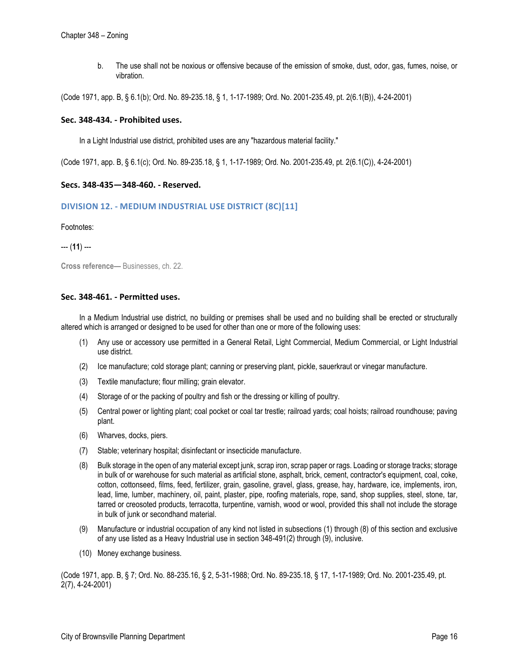b. The use shall not be noxious or offensive because of the emission of smoke, dust, odor, gas, fumes, noise, or vibration.

(Code 1971, app. B, § 6.1(b); Ord. No. 89-235.18, § 1, 1-17-1989; Ord. No. 2001-235.49, pt. 2(6.1(B)), 4-24-2001)

#### **Sec. 348-434. - Prohibited uses.**

In a Light Industrial use district, prohibited uses are any "hazardous material facility."

(Code 1971, app. B, § 6.1(c); Ord. No. 89-235.18, § 1, 1-17-1989; Ord. No. 2001-235.49, pt. 2(6.1(C)), 4-24-2001)

# **Secs. 348-435—348-460. - Reserved.**

# **DIVISION 12. - MEDIUM INDUSTRIAL USE DISTRICT (8C)[11]**

Footnotes:

--- (**11**) ---

**Cross reference—** Businesses, ch. 22.

#### **Sec. 348-461. - Permitted uses.**

In a Medium Industrial use district, no building or premises shall be used and no building shall be erected or structurally altered which is arranged or designed to be used for other than one or more of the following uses:

- (1) Any use or accessory use permitted in a General Retail, Light Commercial, Medium Commercial, or Light Industrial use district.
- (2) Ice manufacture; cold storage plant; canning or preserving plant, pickle, sauerkraut or vinegar manufacture.
- (3) Textile manufacture; flour milling; grain elevator.
- (4) Storage of or the packing of poultry and fish or the dressing or killing of poultry.
- (5) Central power or lighting plant; coal pocket or coal tar trestle; railroad yards; coal hoists; railroad roundhouse; paving plant.
- (6) Wharves, docks, piers.
- (7) Stable; veterinary hospital; disinfectant or insecticide manufacture.
- (8) Bulk storage in the open of any material except junk, scrap iron, scrap paper or rags. Loading or storage tracks; storage in bulk of or warehouse for such material as artificial stone, asphalt, brick, cement, contractor's equipment, coal, coke, cotton, cottonseed, films, feed, fertilizer, grain, gasoline, gravel, glass, grease, hay, hardware, ice, implements, iron, lead, lime, lumber, machinery, oil, paint, plaster, pipe, roofing materials, rope, sand, shop supplies, steel, stone, tar, tarred or creosoted products, terracotta, turpentine, varnish, wood or wool, provided this shall not include the storage in bulk of junk or secondhand material.
- (9) Manufacture or industrial occupation of any kind not listed in subsections (1) through (8) of this section and exclusive of any use listed as a Heavy Industrial use in section 348-491(2) through (9), inclusive.
- (10) Money exchange business.

(Code 1971, app. B, § 7; Ord. No. 88-235.16, § 2, 5-31-1988; Ord. No. 89-235.18, § 17, 1-17-1989; Ord. No. 2001-235.49, pt. 2(7), 4-24-2001)